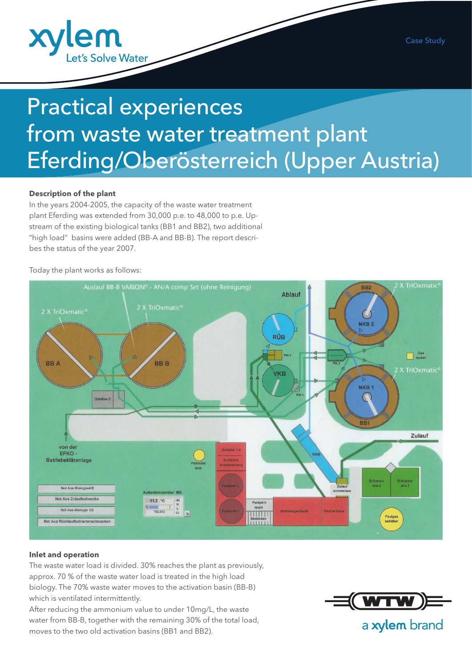

# Practical experiences from waste water treatment plant Eferding/Oberösterreich (Upper Austria)

### **Description of the plant**

In the years 2004-2005, the capacity of the waste water treatment plant Eferding was extended from 30,000 p.e. to 48,000 to p.e. Upstream of the existing biological tanks (BB1 and BB2), two additional "high load" basins were added (BB-A and BB-B). The report describes the status of the year 2007.

Today the plant works as follows:



#### **Inlet and operation**

The waste water load is divided. 30% reaches the plant as previously, approx. 70 % of the waste water load is treated in the high load biology. The 70% waste water moves to the activation basin (BB-B) which is ventilated intermittently.

After reducing the ammonium value to under 10mg/L, the waste water from BB-B, together with the remaining 30% of the total load, moves to the two old activation basins (BB1 and BB2).



a xylem brand